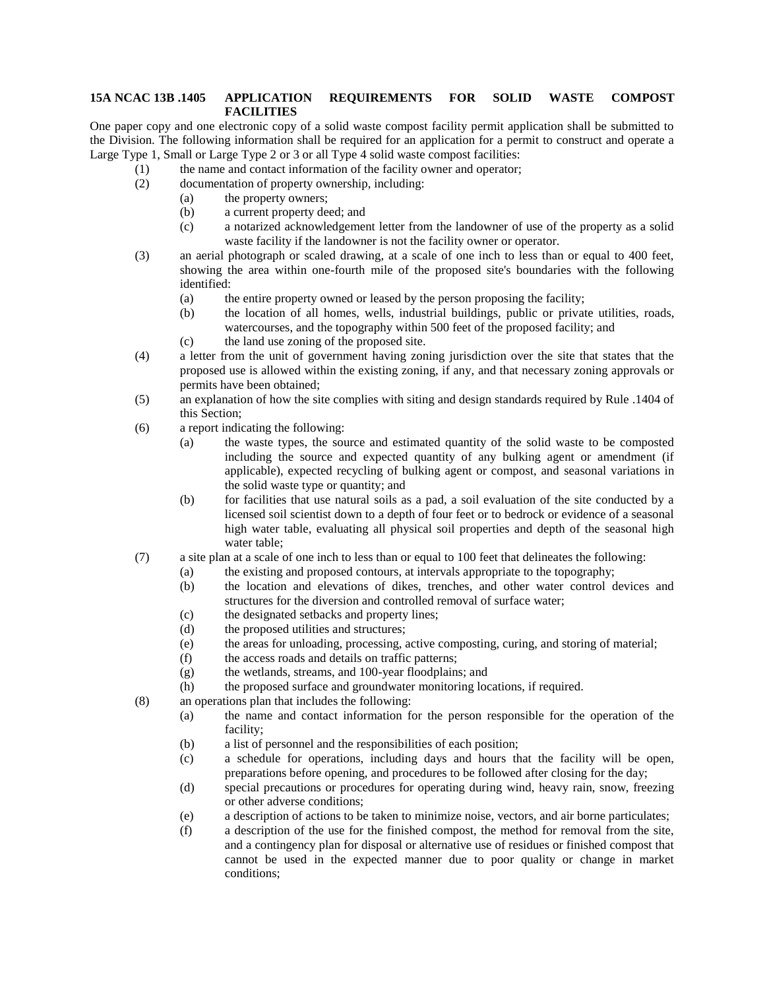## **15A NCAC 13B .1405 APPLICATION REQUIREMENTS FOR SOLID WASTE COMPOST FACILITIES**

One paper copy and one electronic copy of a solid waste compost facility permit application shall be submitted to the Division. The following information shall be required for an application for a permit to construct and operate a Large Type 1, Small or Large Type 2 or 3 or all Type 4 solid waste compost facilities:

- (1) the name and contact information of the facility owner and operator;
- (2) documentation of property ownership, including:
	- (a) the property owners;
		- (b) a current property deed; and
		- (c) a notarized acknowledgement letter from the landowner of use of the property as a solid waste facility if the landowner is not the facility owner or operator.
- (3) an aerial photograph or scaled drawing, at a scale of one inch to less than or equal to 400 feet, showing the area within one-fourth mile of the proposed site's boundaries with the following identified:
	- (a) the entire property owned or leased by the person proposing the facility;
	- (b) the location of all homes, wells, industrial buildings, public or private utilities, roads, watercourses, and the topography within 500 feet of the proposed facility; and
	- (c) the land use zoning of the proposed site.
- (4) a letter from the unit of government having zoning jurisdiction over the site that states that the proposed use is allowed within the existing zoning, if any, and that necessary zoning approvals or permits have been obtained;
- (5) an explanation of how the site complies with siting and design standards required by Rule .1404 of this Section;
- (6) a report indicating the following:
	- (a) the waste types, the source and estimated quantity of the solid waste to be composted including the source and expected quantity of any bulking agent or amendment (if applicable), expected recycling of bulking agent or compost, and seasonal variations in the solid waste type or quantity; and
	- (b) for facilities that use natural soils as a pad, a soil evaluation of the site conducted by a licensed soil scientist down to a depth of four feet or to bedrock or evidence of a seasonal high water table, evaluating all physical soil properties and depth of the seasonal high water table;
- (7) a site plan at a scale of one inch to less than or equal to 100 feet that delineates the following:
	- (a) the existing and proposed contours, at intervals appropriate to the topography;
	- (b) the location and elevations of dikes, trenches, and other water control devices and structures for the diversion and controlled removal of surface water;
	- (c) the designated setbacks and property lines;
	- (d) the proposed utilities and structures;
	- (e) the areas for unloading, processing, active composting, curing, and storing of material;
	- (f) the access roads and details on traffic patterns;
	- (g) the wetlands, streams, and 100-year floodplains; and
	- (h) the proposed surface and groundwater monitoring locations, if required.
- (8) an operations plan that includes the following:
	- (a) the name and contact information for the person responsible for the operation of the facility;
	- (b) a list of personnel and the responsibilities of each position;
	- (c) a schedule for operations, including days and hours that the facility will be open, preparations before opening, and procedures to be followed after closing for the day;
	- (d) special precautions or procedures for operating during wind, heavy rain, snow, freezing or other adverse conditions;
	- (e) a description of actions to be taken to minimize noise, vectors, and air borne particulates;
	- (f) a description of the use for the finished compost, the method for removal from the site, and a contingency plan for disposal or alternative use of residues or finished compost that cannot be used in the expected manner due to poor quality or change in market conditions;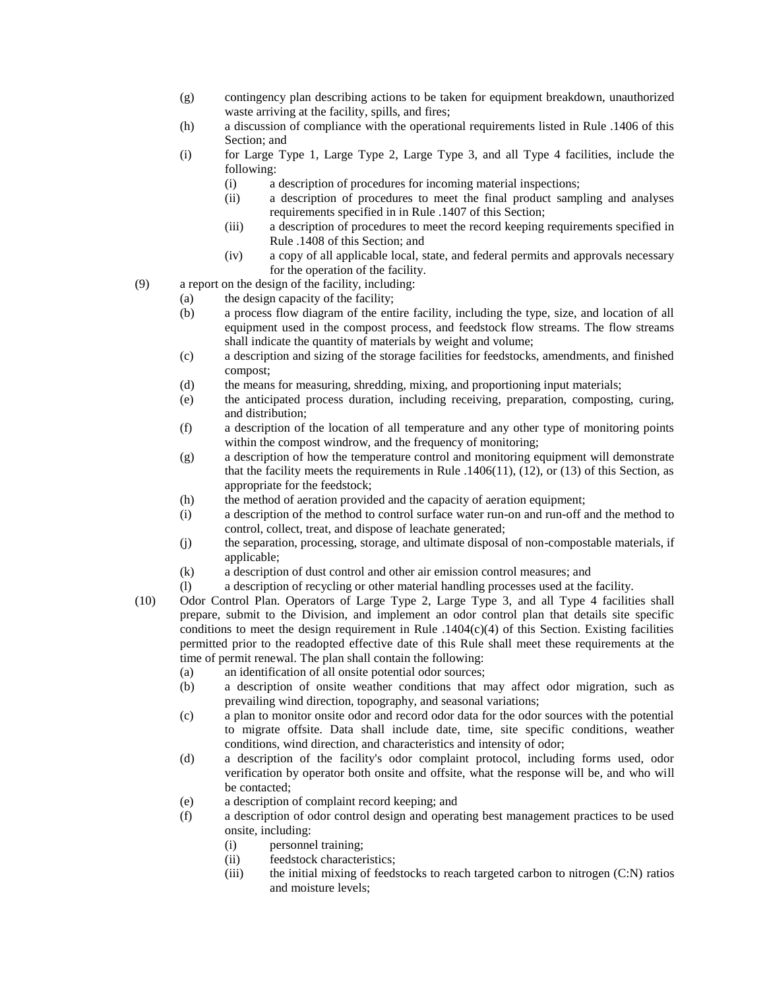- (g) contingency plan describing actions to be taken for equipment breakdown, unauthorized waste arriving at the facility, spills, and fires;
- (h) a discussion of compliance with the operational requirements listed in Rule .1406 of this Section; and
- (i) for Large Type 1, Large Type 2, Large Type 3, and all Type 4 facilities, include the following:
	- (i) a description of procedures for incoming material inspections;
	- (ii) a description of procedures to meet the final product sampling and analyses requirements specified in in Rule .1407 of this Section;
	- (iii) a description of procedures to meet the record keeping requirements specified in Rule .1408 of this Section; and
	- (iv) a copy of all applicable local, state, and federal permits and approvals necessary for the operation of the facility.
- (9) a report on the design of the facility, including:
	- (a) the design capacity of the facility;
		- (b) a process flow diagram of the entire facility, including the type, size, and location of all equipment used in the compost process, and feedstock flow streams. The flow streams shall indicate the quantity of materials by weight and volume;
		- (c) a description and sizing of the storage facilities for feedstocks, amendments, and finished compost;
		- (d) the means for measuring, shredding, mixing, and proportioning input materials;
		- (e) the anticipated process duration, including receiving, preparation, composting, curing, and distribution;
		- (f) a description of the location of all temperature and any other type of monitoring points within the compost windrow, and the frequency of monitoring:
		- (g) a description of how the temperature control and monitoring equipment will demonstrate that the facility meets the requirements in Rule  $.1406(11)$ , (12), or (13) of this Section, as appropriate for the feedstock;
		- (h) the method of aeration provided and the capacity of aeration equipment;
		- (i) a description of the method to control surface water run-on and run-off and the method to control, collect, treat, and dispose of leachate generated;
		- (j) the separation, processing, storage, and ultimate disposal of non-compostable materials, if applicable;
		- (k) a description of dust control and other air emission control measures; and
		- (l) a description of recycling or other material handling processes used at the facility.
- (10) Odor Control Plan. Operators of Large Type 2, Large Type 3, and all Type 4 facilities shall prepare, submit to the Division, and implement an odor control plan that details site specific conditions to meet the design requirement in Rule  $.1404(c)(4)$  of this Section. Existing facilities permitted prior to the readopted effective date of this Rule shall meet these requirements at the time of permit renewal. The plan shall contain the following:
	- (a) an identification of all onsite potential odor sources;
	- (b) a description of onsite weather conditions that may affect odor migration, such as prevailing wind direction, topography, and seasonal variations;
	- (c) a plan to monitor onsite odor and record odor data for the odor sources with the potential to migrate offsite. Data shall include date, time, site specific conditions, weather conditions, wind direction, and characteristics and intensity of odor;
	- (d) a description of the facility's odor complaint protocol, including forms used, odor verification by operator both onsite and offsite, what the response will be, and who will be contacted;
	- (e) a description of complaint record keeping; and
	- (f) a description of odor control design and operating best management practices to be used onsite, including:
		- (i) personnel training;
		- (ii) feedstock characteristics;
		- (iii) the initial mixing of feedstocks to reach targeted carbon to nitrogen (C:N) ratios and moisture levels;